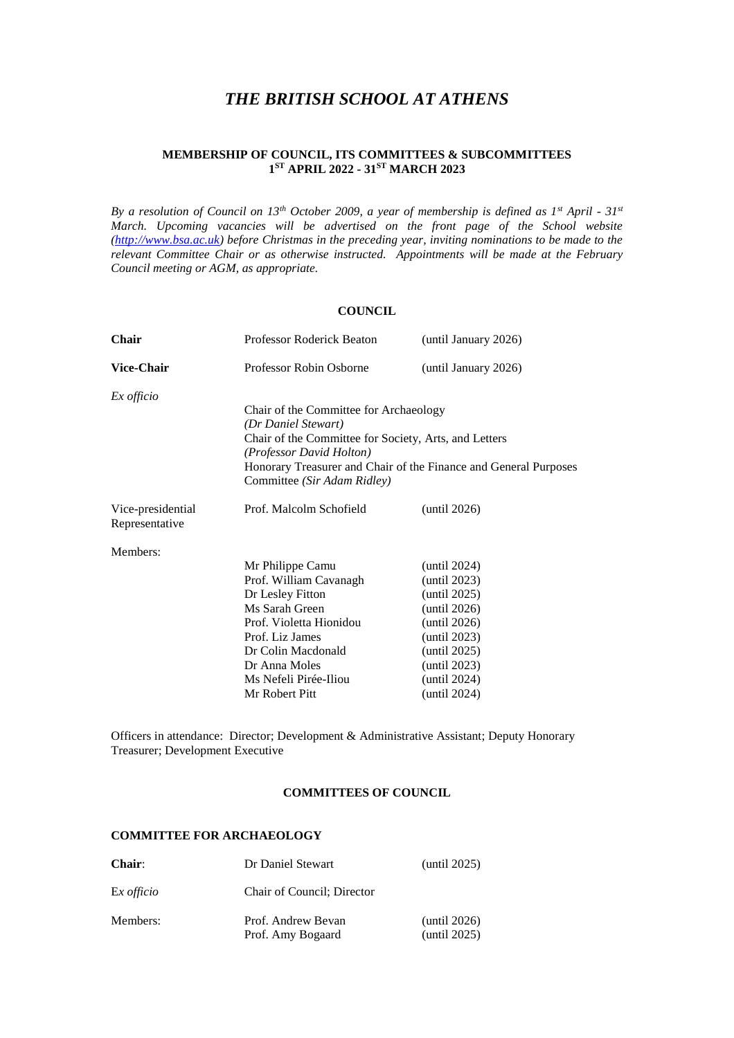# *THE BRITISH SCHOOL AT ATHENS*

## **MEMBERSHIP OF COUNCIL, ITS COMMITTEES & SUBCOMMITTEES 1 ST APRIL 2022 - 31ST MARCH 2023**

*By a resolution of Council on 13th October 2009, a year of membership is defined as 1st April - 31st March. Upcoming vacancies will be advertised on the front page of the School website [\(http://www.bsa.ac.uk\)](http://www.bsa.ac.uk/) before Christmas in the preceding year, inviting nominations to be made to the relevant Committee Chair or as otherwise instructed. Appointments will be made at the February Council meeting or AGM, as appropriate.*

#### **COUNCIL**

| Professor Roderick Beaton                                        | (until January 2026)                                                                                                                                                                                                                  |
|------------------------------------------------------------------|---------------------------------------------------------------------------------------------------------------------------------------------------------------------------------------------------------------------------------------|
| Professor Robin Osborne                                          | (until January 2026)                                                                                                                                                                                                                  |
|                                                                  |                                                                                                                                                                                                                                       |
|                                                                  |                                                                                                                                                                                                                                       |
|                                                                  |                                                                                                                                                                                                                                       |
| (Professor David Holton)                                         |                                                                                                                                                                                                                                       |
| Honorary Treasurer and Chair of the Finance and General Purposes |                                                                                                                                                                                                                                       |
| Committee (Sir Adam Ridley)                                      |                                                                                                                                                                                                                                       |
| Prof. Malcolm Schofield                                          | (until 2026)                                                                                                                                                                                                                          |
|                                                                  |                                                                                                                                                                                                                                       |
|                                                                  |                                                                                                                                                                                                                                       |
|                                                                  | (until 2024)                                                                                                                                                                                                                          |
|                                                                  | (until 2023)                                                                                                                                                                                                                          |
|                                                                  | (until 2025)<br>(until 2026)                                                                                                                                                                                                          |
|                                                                  | (until 2026)                                                                                                                                                                                                                          |
| Prof. Liz James                                                  | (until 2023)                                                                                                                                                                                                                          |
| Dr Colin Macdonald                                               | (until 2025)                                                                                                                                                                                                                          |
| Dr Anna Moles                                                    | (until 2023)                                                                                                                                                                                                                          |
| Ms Nefeli Pirée-Iliou                                            | (until 2024)                                                                                                                                                                                                                          |
| Mr Robert Pitt                                                   | (until 2024)                                                                                                                                                                                                                          |
|                                                                  | Chair of the Committee for Archaeology<br>(Dr Daniel Stewart)<br>Chair of the Committee for Society, Arts, and Letters<br>Mr Philippe Camu<br>Prof. William Cavanagh<br>Dr Lesley Fitton<br>Ms Sarah Green<br>Prof. Violetta Hionidou |

Officers in attendance: Director; Development & Administrative Assistant; Deputy Honorary Treasurer; Development Executive

#### **COMMITTEES OF COUNCIL**

#### **COMMITTEE FOR ARCHAEOLOGY**

| <b>Chair:</b>     | Dr Daniel Stewart                       | (until 2025)                 |
|-------------------|-----------------------------------------|------------------------------|
| Ex <i>officio</i> | Chair of Council; Director              |                              |
| Members:          | Prof. Andrew Bevan<br>Prof. Amy Bogaard | (until 2026)<br>(until 2025) |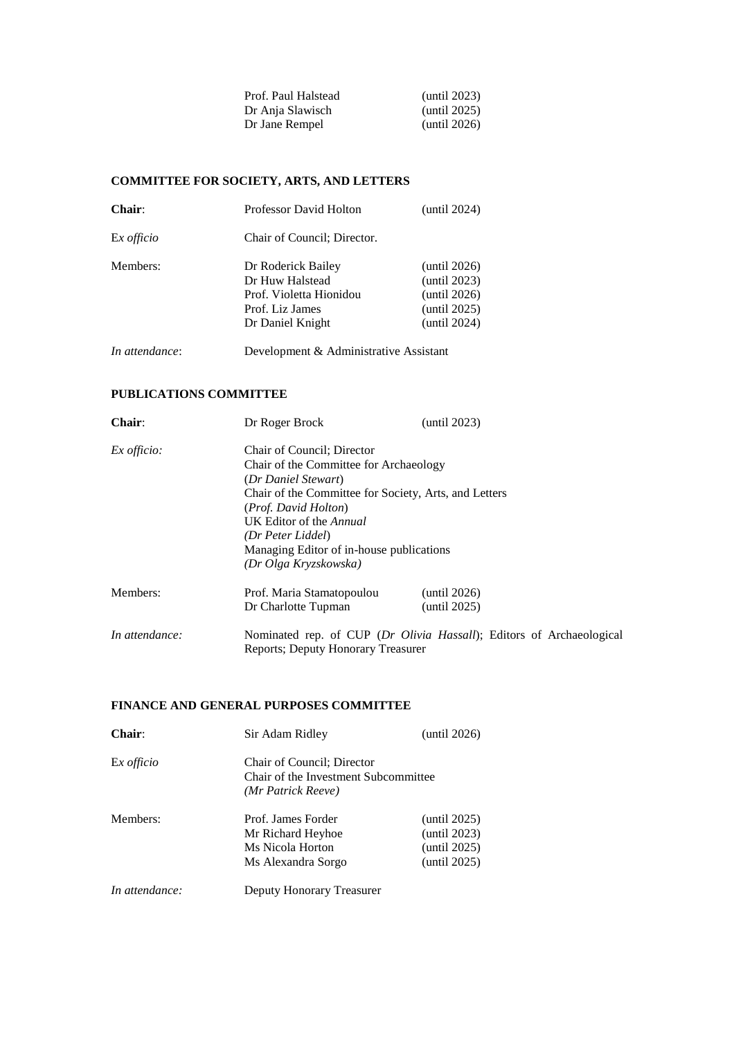| (until 2023)    |
|-----------------|
| (until 2025)    |
| (until $2026$ ) |
|                 |

# **COMMITTEE FOR SOCIETY, ARTS, AND LETTERS**

| Chair:         | <b>Professor David Holton</b>                                                                           | (until 2024)                                                                    |
|----------------|---------------------------------------------------------------------------------------------------------|---------------------------------------------------------------------------------|
| Ex officio     | Chair of Council; Director.                                                                             |                                                                                 |
| Members:       | Dr Roderick Bailey<br>Dr Huw Halstead<br>Prof. Violetta Hionidou<br>Prof. Liz James<br>Dr Daniel Knight | (until $2026$ )<br>(until 2023)<br>(until 2026)<br>(until 2025)<br>(until 2024) |
| In attendance: | Development & Administrative Assistant                                                                  |                                                                                 |

## **PUBLICATIONS COMMITTEE**

| <b>Chair:</b>  | Dr Roger Brock                                                                                                                                                                                                                                                                                           | (until 2023)                                                         |
|----------------|----------------------------------------------------------------------------------------------------------------------------------------------------------------------------------------------------------------------------------------------------------------------------------------------------------|----------------------------------------------------------------------|
| $Ex$ officio:  | Chair of Council; Director<br>Chair of the Committee for Archaeology<br>(Dr Daniel Stewart)<br>Chair of the Committee for Society, Arts, and Letters<br><i>(Prof. David Holton)</i><br>UK Editor of the Annual<br>(Dr Peter Liddel)<br>Managing Editor of in-house publications<br>(Dr Olga Kryzskowska) |                                                                      |
| Members:       | Prof. Maria Stamatopoulou<br>Dr Charlotte Tupman                                                                                                                                                                                                                                                         | (until 2026)<br>(until 2025)                                         |
| In attendance: | Reports: Deputy Honorary Treasurer                                                                                                                                                                                                                                                                       | Nominated rep. of CUP (Dr Olivia Hassall); Editors of Archaeological |

## **FINANCE AND GENERAL PURPOSES COMMITTEE**

| Chair:         | Sir Adam Ridley                                                                          | (until 2026)                                                 |
|----------------|------------------------------------------------------------------------------------------|--------------------------------------------------------------|
| Ex officio     | Chair of Council; Director<br>Chair of the Investment Subcommittee<br>(Mr Patrick Reeve) |                                                              |
| Members:       | Prof. James Forder<br>Mr Richard Heyhoe<br>Ms Nicola Horton<br>Ms Alexandra Sorgo        | (until 2025)<br>(until 2023)<br>(until 2025)<br>(until 2025) |
| In attendance: | Deputy Honorary Treasurer                                                                |                                                              |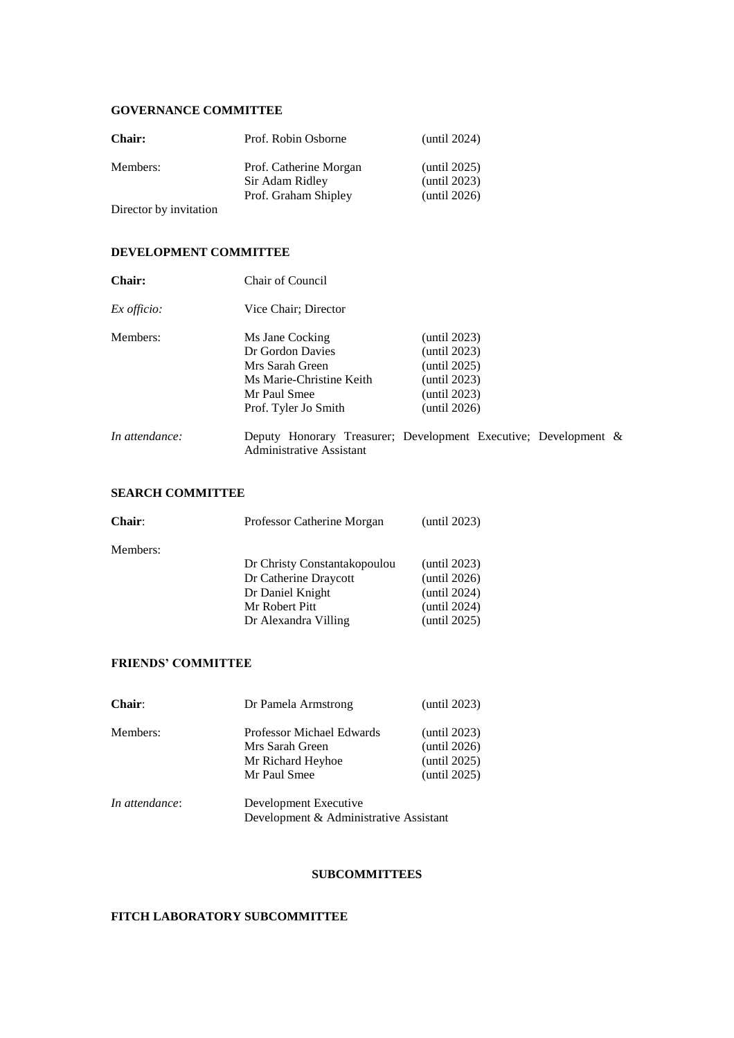#### **GOVERNANCE COMMITTEE**

| <b>Chair:</b>          | Prof. Robin Osborne                       | (until $2024$ )              |
|------------------------|-------------------------------------------|------------------------------|
| Members:               | Prof. Catherine Morgan<br>Sir Adam Ridley | (until 2025)<br>(until 2023) |
|                        | Prof. Graham Shipley                      | (until 2026)                 |
| Director by invitation |                                           |                              |

# **DEVELOPMENT COMMITTEE**

| Chair:             | Chair of Council                                                                            |                                              |  |
|--------------------|---------------------------------------------------------------------------------------------|----------------------------------------------|--|
| <i>Ex officio:</i> | Vice Chair; Director                                                                        |                                              |  |
| Members:           | Ms Jane Cocking<br>Dr Gordon Davies<br>Mrs Sarah Green                                      | (until 2023)<br>(until 2023)<br>(until 2025) |  |
|                    | Ms Marie-Christine Keith<br>Mr Paul Smee<br>Prof. Tyler Jo Smith                            | (until 2023)<br>(until 2023)<br>(until 2026) |  |
| In attendance:     | Deputy Honorary Treasurer; Development Executive; Development &<br>Administrative Assistant |                                              |  |

# **SEARCH COMMITTEE**

| <b>Chair:</b> | Professor Catherine Morgan   | (until 2023) |
|---------------|------------------------------|--------------|
| Members:      |                              |              |
|               | Dr Christy Constantakopoulou | (until 2023) |
|               | Dr Catherine Draycott        | (until 2026) |
|               | Dr Daniel Knight             | (until 2024) |
|               | Mr Robert Pitt               | (until 2024) |
|               | Dr Alexandra Villing         | (until 2025) |
|               |                              |              |

# **FRIENDS' COMMITTEE**

| Chair:         | Dr Pamela Armstrong                                 | (until 2023)                 |
|----------------|-----------------------------------------------------|------------------------------|
| Members:       | <b>Professor Michael Edwards</b><br>Mrs Sarah Green | (until 2023)<br>(until 2026) |
|                | Mr Richard Heyhoe<br>Mr Paul Smee                   | (until 2025)<br>(until 2025) |
| In attendance: | Development Executive                               |                              |

Development & Administrative Assistant

## **SUBCOMMITTEES**

### **FITCH LABORATORY SUBCOMMITTEE**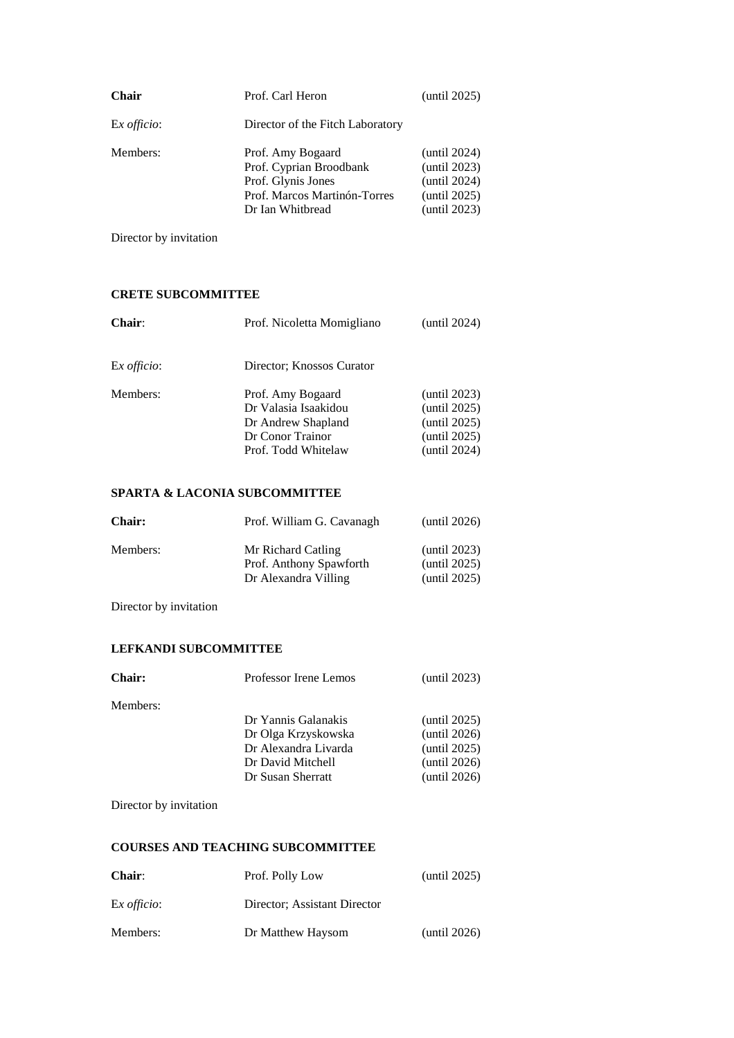| <b>Chair</b>        | Prof. Carl Heron                                                                                                       | (until $2025$ )                                                              |
|---------------------|------------------------------------------------------------------------------------------------------------------------|------------------------------------------------------------------------------|
| Ex <i>officio</i> : | Director of the Fitch Laboratory                                                                                       |                                                                              |
| Members:            | Prof. Amy Bogaard<br>Prof. Cyprian Broodbank<br>Prof. Glynis Jones<br>Prof. Marcos Martinón-Torres<br>Dr Ian Whitbread | (until 2024)<br>(until 2023)<br>(until 2024)<br>(until 2025)<br>(until 2023) |

Director by invitation

# **CRETE SUBCOMMITTEE**

| Chair:              | Prof. Nicoletta Momigliano                                                                                 | (until $2024$ )                                                              |
|---------------------|------------------------------------------------------------------------------------------------------------|------------------------------------------------------------------------------|
| Ex <i>officio</i> : | Director: Knossos Curator                                                                                  |                                                                              |
| Members:            | Prof. Amy Bogaard<br>Dr Valasia Isaakidou<br>Dr Andrew Shapland<br>Dr Conor Trainor<br>Prof. Todd Whitelaw | (until 2023)<br>(until 2025)<br>(until 2025)<br>(until 2025)<br>(until 2024) |

# **SPARTA & LACONIA SUBCOMMITTEE**

| <b>Chair:</b> | Prof. William G. Cavanagh                                             | (until 2026)                                 |
|---------------|-----------------------------------------------------------------------|----------------------------------------------|
| Members:      | Mr Richard Catling<br>Prof. Anthony Spawforth<br>Dr Alexandra Villing | (until 2023)<br>(until 2025)<br>(until 2025) |

Director by invitation

# **LEFKANDI SUBCOMMITTEE**

| <b>Chair:</b> | Professor Irene Lemos | (until 2023) |
|---------------|-----------------------|--------------|
| Members:      |                       |              |
|               | Dr Yannis Galanakis   | (until 2025) |
|               | Dr Olga Krzyskowska   | (until 2026) |
|               | Dr Alexandra Livarda  | (until 2025) |
|               | Dr David Mitchell     | (until 2026) |
|               | Dr Susan Sherratt     | (until 2026) |
|               |                       |              |

Director by invitation

# **COURSES AND TEACHING SUBCOMMITTEE**

| <b>Chair:</b> | Prof. Polly Low              | (until 2025) |
|---------------|------------------------------|--------------|
| Ex officio:   | Director: Assistant Director |              |
| Members:      | Dr Matthew Haysom            | (until 2026) |